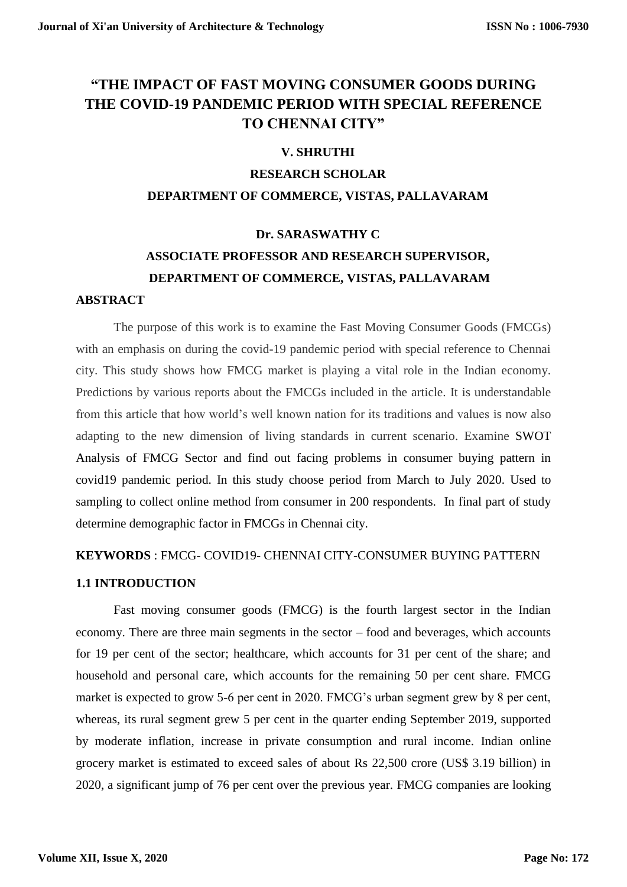# **"THE IMPACT OF FAST MOVING CONSUMER GOODS DURING THE COVID-19 PANDEMIC PERIOD WITH SPECIAL REFERENCE TO CHENNAI CITY"**

## **V. SHRUTHI**

# **RESEARCH SCHOLAR DEPARTMENT OF COMMERCE, VISTAS, PALLAVARAM**

#### **Dr. SARASWATHY C**

# **ASSOCIATE PROFESSOR AND RESEARCH SUPERVISOR, DEPARTMENT OF COMMERCE, VISTAS, PALLAVARAM**

#### **ABSTRACT**

The purpose of this work is to examine the Fast Moving Consumer Goods (FMCGs) with an emphasis on during the covid-19 pandemic period with special reference to Chennai city. This study shows how FMCG market is playing a vital role in the Indian economy. Predictions by various reports about the FMCGs included in the article. It is understandable from this article that how world's well known nation for its traditions and values is now also adapting to the new dimension of living standards in current scenario. Examine SWOT Analysis of FMCG Sector and find out facing problems in consumer buying pattern in covid19 pandemic period. In this study choose period from March to July 2020. Used to sampling to collect online method from consumer in 200 respondents. In final part of study determine demographic factor in FMCGs in Chennai city.

#### **KEYWORDS** : FMCG- COVID19- CHENNAI CITY-CONSUMER BUYING PATTERN

#### **1.1 INTRODUCTION**

Fast moving consumer goods (FMCG) is the fourth largest sector in the Indian economy. There are three main segments in the sector – food and beverages, which accounts for 19 per cent of the sector; healthcare, which accounts for 31 per cent of the share; and household and personal care, which accounts for the remaining 50 per cent share. FMCG market is expected to grow 5-6 per cent in 2020. FMCG's urban segment grew by 8 per cent, whereas, its rural segment grew 5 per cent in the quarter ending September 2019, supported by moderate inflation, increase in private consumption and rural income. Indian online grocery market is estimated to exceed sales of about Rs 22,500 crore (US\$ 3.19 billion) in 2020, a significant jump of 76 per cent over the previous year. FMCG companies are looking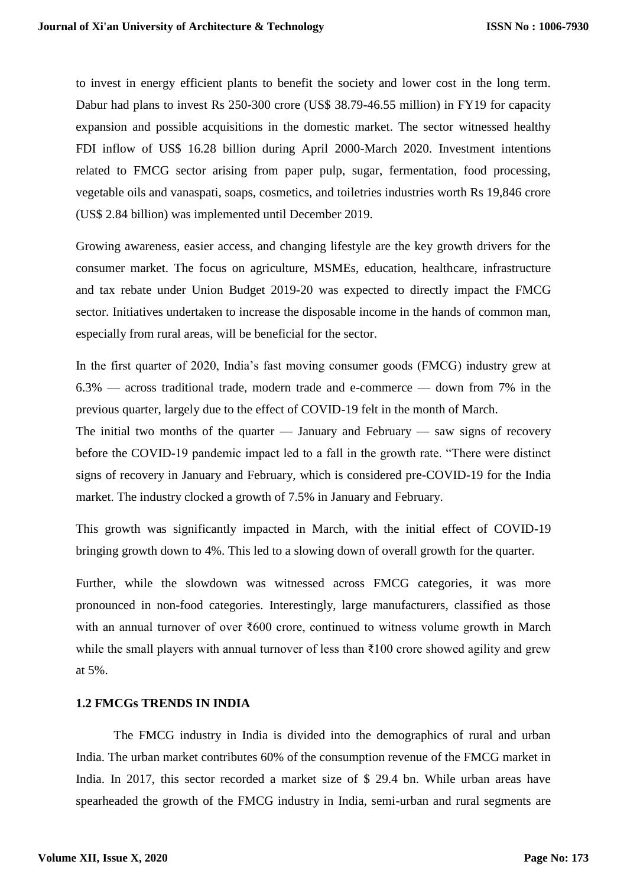to invest in energy efficient plants to benefit the society and lower cost in the long term. Dabur had plans to invest Rs 250-300 crore (US\$ 38.79-46.55 million) in FY19 for capacity expansion and possible acquisitions in the domestic market. The sector witnessed healthy FDI inflow of US\$ 16.28 billion during April 2000-March 2020. Investment intentions related to FMCG sector arising from paper pulp, sugar, fermentation, food processing, vegetable oils and vanaspati, soaps, cosmetics, and toiletries industries worth Rs 19,846 crore (US\$ 2.84 billion) was implemented until December 2019.

Growing awareness, easier access, and changing lifestyle are the key growth drivers for the consumer market. The focus on agriculture, MSMEs, education, healthcare, infrastructure and tax rebate under Union Budget 2019-20 was expected to directly impact the FMCG sector. Initiatives undertaken to increase the disposable income in the hands of common man, especially from rural areas, will be beneficial for the sector.

In the first quarter of 2020, India's fast moving consumer goods (FMCG) industry grew at 6.3% — across traditional trade, modern trade and e-commerce — down from 7% in the previous quarter, largely due to the effect of COVID-19 felt in the month of March.

The initial two months of the quarter  $-$  January and February  $-$  saw signs of recovery before the COVID-19 pandemic impact led to a fall in the growth rate. "There were distinct signs of recovery in January and February, which is considered pre-COVID-19 for the India market. The industry clocked a growth of 7.5% in January and February.

This growth was significantly impacted in March, with the initial effect of COVID-19 bringing growth down to 4%. This led to a slowing down of overall growth for the quarter.

Further, while the slowdown was witnessed across FMCG categories, it was more pronounced in non-food categories. Interestingly, large manufacturers, classified as those with an annual turnover of over ₹600 crore, continued to witness volume growth in March while the small players with annual turnover of less than ₹100 crore showed agility and grew at 5%.

# **1.2 FMCGs TRENDS IN INDIA**

The FMCG industry in India is divided into the demographics of rural and urban India. The urban market contributes 60% of the consumption revenue of the FMCG market in India. In 2017, this sector recorded a market size of \$ 29.4 bn. While urban areas have spearheaded the growth of the FMCG industry in India, semi-urban and rural segments are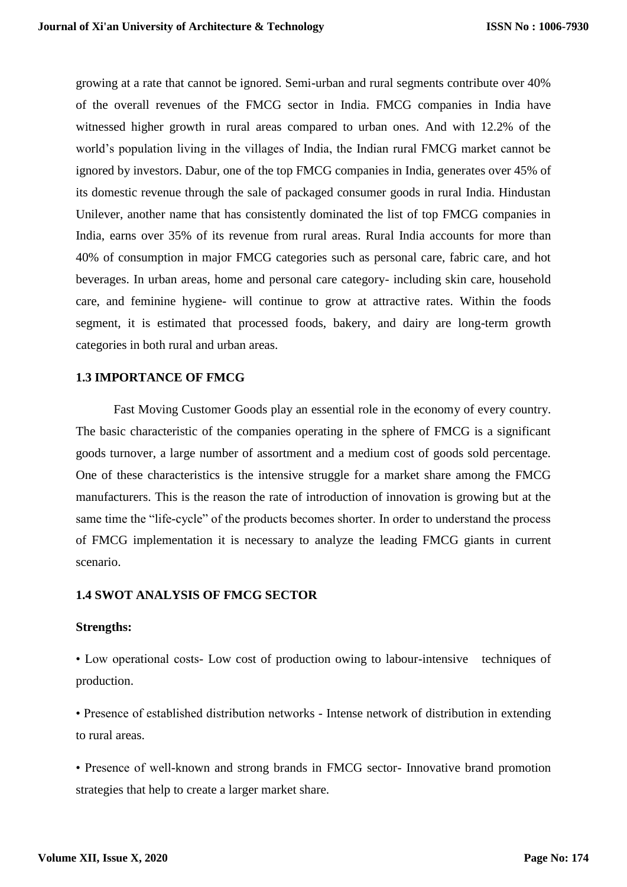growing at a rate that cannot be ignored. Semi-urban and rural segments contribute over 40% of the overall revenues of the FMCG sector in India. FMCG companies in India have witnessed higher growth in rural areas compared to urban ones. And with 12.2% of the world's population living in the villages of India, the Indian rural FMCG market cannot be ignored by investors. Dabur, one of the top FMCG companies in India, generates over 45% of its domestic revenue through the sale of packaged consumer goods in rural India. Hindustan Unilever, another name that has consistently dominated the list of top FMCG companies in India, earns over 35% of its revenue from rural areas. Rural India accounts for more than 40% of consumption in major FMCG categories such as personal care, fabric care, and hot beverages. In urban areas, home and personal care category- including skin care, household care, and feminine hygiene- will continue to grow at attractive rates. Within the foods segment, it is estimated that processed foods, bakery, and dairy are long-term growth categories in both rural and urban areas.

#### **1.3 IMPORTANCE OF FMCG**

Fast Moving Customer Goods play an essential role in the economy of every country. The basic characteristic of the companies operating in the sphere of FMCG is a significant goods turnover, a large number of assortment and a medium cost of goods sold percentage. One of these characteristics is the intensive struggle for a market share among the FMCG manufacturers. This is the reason the rate of introduction of innovation is growing but at the same time the "life-cycle" of the products becomes shorter. In order to understand the process of FMCG implementation it is necessary to analyze the leading FMCG giants in current scenario.

#### **1.4 SWOT ANALYSIS OF FMCG SECTOR**

#### **Strengths:**

• Low operational costs- Low cost of production owing to labour-intensive techniques of production.

• Presence of established distribution networks - Intense network of distribution in extending to rural areas.

• Presence of well-known and strong brands in FMCG sector- Innovative brand promotion strategies that help to create a larger market share.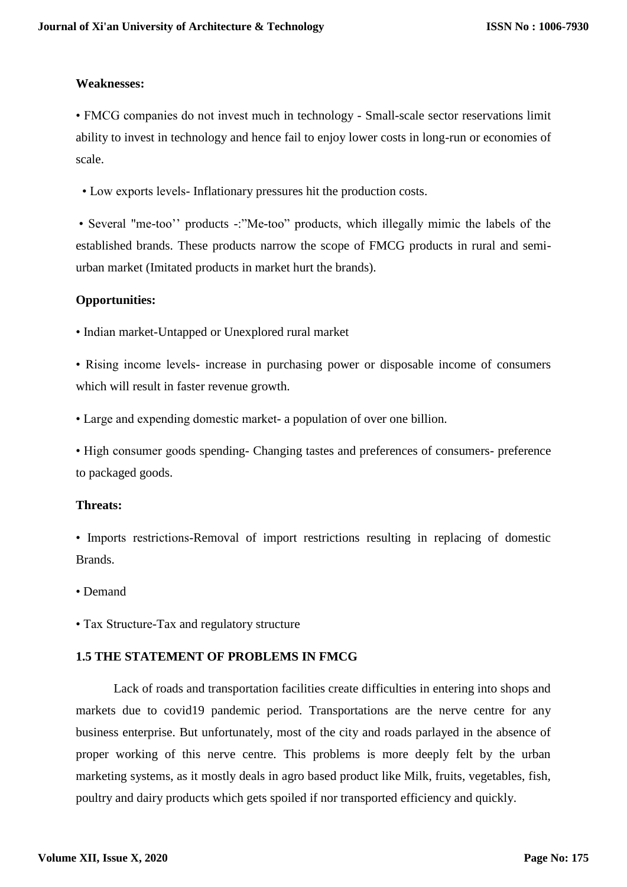## **Weaknesses:**

• FMCG companies do not invest much in technology - Small-scale sector reservations limit ability to invest in technology and hence fail to enjoy lower costs in long-run or economies of scale.

• Low exports levels- Inflationary pressures hit the production costs.

• Several "me-too'' products -:"Me-too" products, which illegally mimic the labels of the established brands. These products narrow the scope of FMCG products in rural and semiurban market (Imitated products in market hurt the brands).

## **Opportunities:**

• Indian market-Untapped or Unexplored rural market

• Rising income levels- increase in purchasing power or disposable income of consumers which will result in faster revenue growth.

• Large and expending domestic market- a population of over one billion.

• High consumer goods spending- Changing tastes and preferences of consumers- preference to packaged goods.

#### **Threats:**

• Imports restrictions-Removal of import restrictions resulting in replacing of domestic Brands.

• Demand

• Tax Structure-Tax and regulatory structure

# **1.5 THE STATEMENT OF PROBLEMS IN FMCG**

Lack of roads and transportation facilities create difficulties in entering into shops and markets due to covid19 pandemic period. Transportations are the nerve centre for any business enterprise. But unfortunately, most of the city and roads parlayed in the absence of proper working of this nerve centre. This problems is more deeply felt by the urban marketing systems, as it mostly deals in agro based product like Milk, fruits, vegetables, fish, poultry and dairy products which gets spoiled if nor transported efficiency and quickly.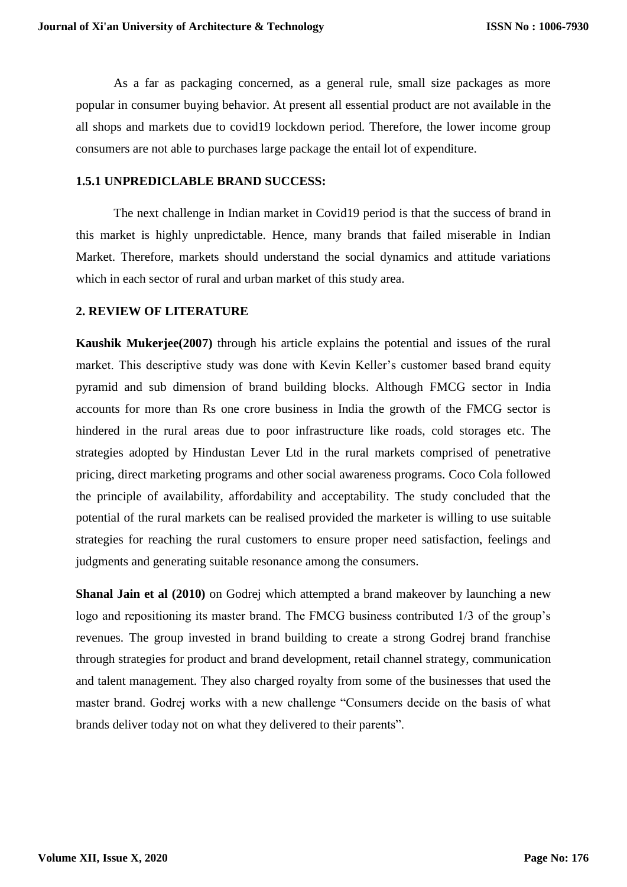As a far as packaging concerned, as a general rule, small size packages as more popular in consumer buying behavior. At present all essential product are not available in the all shops and markets due to covid19 lockdown period. Therefore, the lower income group consumers are not able to purchases large package the entail lot of expenditure.

#### **1.5.1 UNPREDICLABLE BRAND SUCCESS:**

The next challenge in Indian market in Covid19 period is that the success of brand in this market is highly unpredictable. Hence, many brands that failed miserable in Indian Market. Therefore, markets should understand the social dynamics and attitude variations which in each sector of rural and urban market of this study area.

## **2. REVIEW OF LITERATURE**

**Kaushik Mukerjee(2007)** through his article explains the potential and issues of the rural market. This descriptive study was done with Kevin Keller's customer based brand equity pyramid and sub dimension of brand building blocks. Although FMCG sector in India accounts for more than Rs one crore business in India the growth of the FMCG sector is hindered in the rural areas due to poor infrastructure like roads, cold storages etc. The strategies adopted by Hindustan Lever Ltd in the rural markets comprised of penetrative pricing, direct marketing programs and other social awareness programs. Coco Cola followed the principle of availability, affordability and acceptability. The study concluded that the potential of the rural markets can be realised provided the marketer is willing to use suitable strategies for reaching the rural customers to ensure proper need satisfaction, feelings and judgments and generating suitable resonance among the consumers.

**Shanal Jain et al (2010)** on Godrej which attempted a brand makeover by launching a new logo and repositioning its master brand. The FMCG business contributed 1/3 of the group's revenues. The group invested in brand building to create a strong Godrej brand franchise through strategies for product and brand development, retail channel strategy, communication and talent management. They also charged royalty from some of the businesses that used the master brand. Godrej works with a new challenge "Consumers decide on the basis of what brands deliver today not on what they delivered to their parents".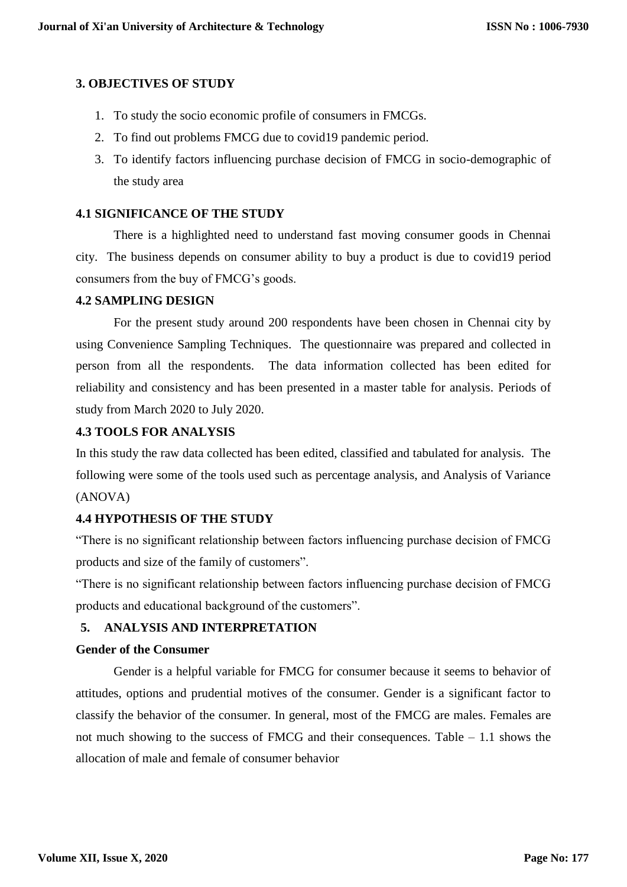# **3. OBJECTIVES OF STUDY**

- 1. To study the socio economic profile of consumers in FMCGs.
- 2. To find out problems FMCG due to covid19 pandemic period.
- 3. To identify factors influencing purchase decision of FMCG in socio-demographic of the study area

## **4.1 SIGNIFICANCE OF THE STUDY**

There is a highlighted need to understand fast moving consumer goods in Chennai city. The business depends on consumer ability to buy a product is due to covid19 period consumers from the buy of FMCG's goods.

#### **4.2 SAMPLING DESIGN**

For the present study around 200 respondents have been chosen in Chennai city by using Convenience Sampling Techniques. The questionnaire was prepared and collected in person from all the respondents. The data information collected has been edited for reliability and consistency and has been presented in a master table for analysis. Periods of study from March 2020 to July 2020.

## **4.3 TOOLS FOR ANALYSIS**

In this study the raw data collected has been edited, classified and tabulated for analysis. The following were some of the tools used such as percentage analysis, and Analysis of Variance (ANOVA)

# **4.4 HYPOTHESIS OF THE STUDY**

"There is no significant relationship between factors influencing purchase decision of FMCG products and size of the family of customers".

"There is no significant relationship between factors influencing purchase decision of FMCG products and educational background of the customers".

#### **5. ANALYSIS AND INTERPRETATION**

#### **Gender of the Consumer**

Gender is a helpful variable for FMCG for consumer because it seems to behavior of attitudes, options and prudential motives of the consumer. Gender is a significant factor to classify the behavior of the consumer. In general, most of the FMCG are males. Females are not much showing to the success of FMCG and their consequences. Table – 1.1 shows the allocation of male and female of consumer behavior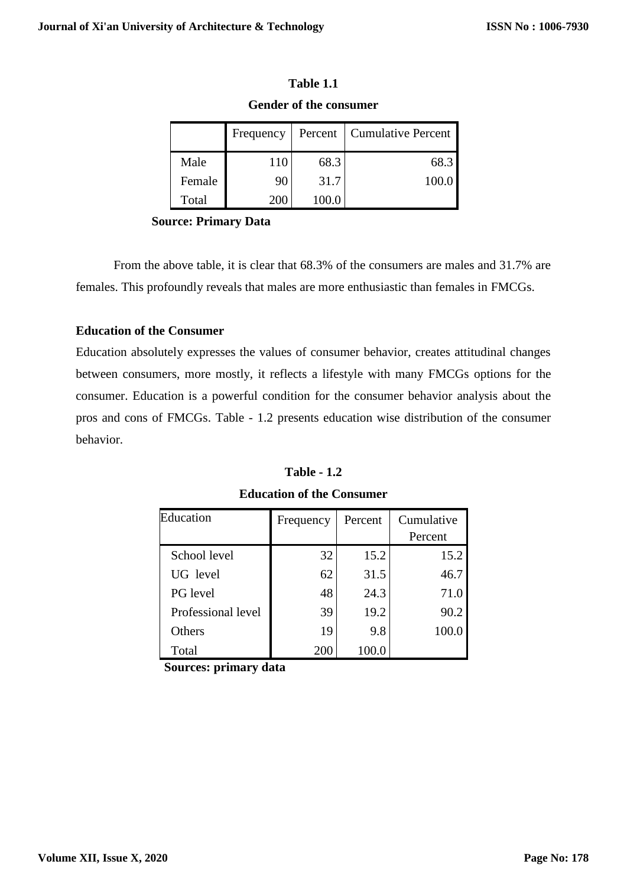|        | Frequency | Percent | <b>Cumulative Percent</b> |
|--------|-----------|---------|---------------------------|
| Male   | 110       | 68.3    | 68.3                      |
| Female | 90        | 31.7    | 100.0                     |
| Total  |           |         |                           |

**Table 1.1 Gender of the consumer**

**Source: Primary Data** 

From the above table, it is clear that 68.3% of the consumers are males and 31.7% are females. This profoundly reveals that males are more enthusiastic than females in FMCGs.

## **Education of the Consumer**

Education absolutely expresses the values of consumer behavior, creates attitudinal changes between consumers, more mostly, it reflects a lifestyle with many FMCGs options for the consumer. Education is a powerful condition for the consumer behavior analysis about the pros and cons of FMCGs. Table - 1.2 presents education wise distribution of the consumer behavior.

| <b>Table - 1.2</b> |  |
|--------------------|--|
|                    |  |

**Education of the Consumer**

| Education          | Frequency | Percent | Cumulative |
|--------------------|-----------|---------|------------|
|                    |           |         | Percent    |
| School level       | 32        | 15.2    | 15.2       |
| UG level           | 62        | 31.5    | 46.7       |
| <b>PG</b> level    | 48        | 24.3    | 71.0       |
| Professional level | 39        | 19.2    | 90.2       |
| Others             | 19        | 9.8     | 100.0      |
| Total              | 200       | 100.0   |            |

 **Sources: primary data**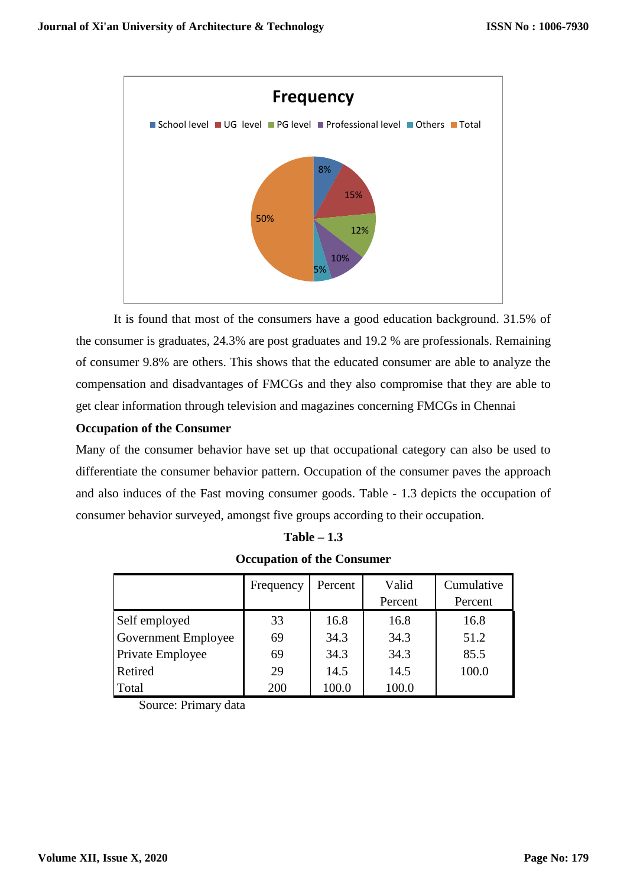

It is found that most of the consumers have a good education background. 31.5% of the consumer is graduates, 24.3% are post graduates and 19.2 % are professionals. Remaining of consumer 9.8% are others. This shows that the educated consumer are able to analyze the compensation and disadvantages of FMCGs and they also compromise that they are able to get clear information through television and magazines concerning FMCGs in Chennai

#### **Occupation of the Consumer**

Many of the consumer behavior have set up that occupational category can also be used to differentiate the consumer behavior pattern. Occupation of the consumer paves the approach and also induces of the Fast moving consumer goods. Table - 1.3 depicts the occupation of consumer behavior surveyed, amongst five groups according to their occupation.

| Occupation of the Consumer |           |         |                  |                       |  |  |
|----------------------------|-----------|---------|------------------|-----------------------|--|--|
|                            | Frequency | Percent | Valid<br>Percent | Cumulative<br>Percent |  |  |
| Self employed              | 33        | 16.8    | 16.8             | 16.8                  |  |  |
| <b>Government Employee</b> | 69        | 34.3    | 34.3             | 51.2                  |  |  |
| <b>Private Employee</b>    | 69        | 34.3    | 34.3             | 85.5                  |  |  |
| Retired                    | 29        | 14.5    | 14.5             | 100.0                 |  |  |
| Total                      | 200       | 100.0   | 100.0            |                       |  |  |

**Table – 1.3 Occupation of the Consumer**

Source: Primary data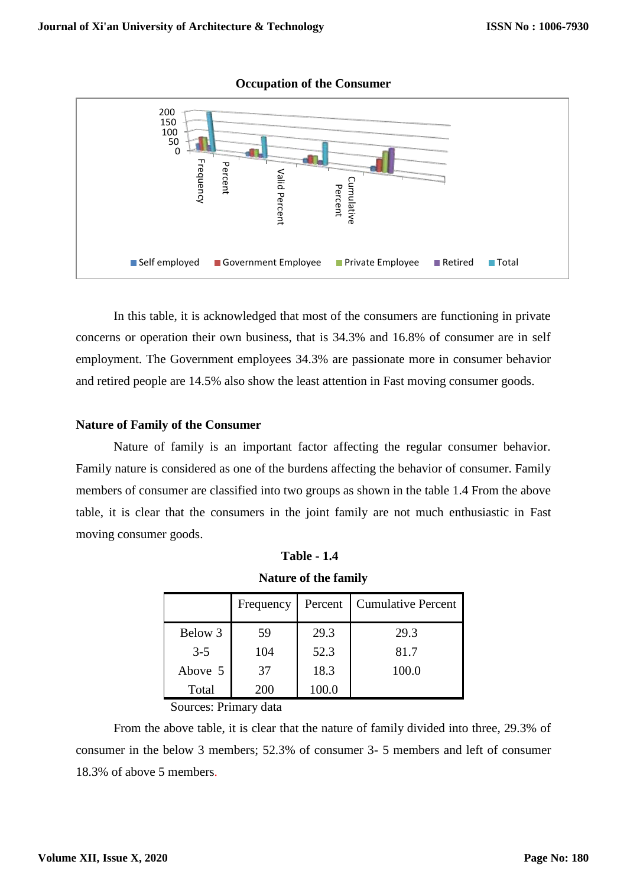

#### **Occupation of the Consumer**

In this table, it is acknowledged that most of the consumers are functioning in private concerns or operation their own business, that is 34.3% and 16.8% of consumer are in self employment. The Government employees 34.3% are passionate more in consumer behavior and retired people are 14.5% also show the least attention in Fast moving consumer goods.

#### **Nature of Family of the Consumer**

Nature of family is an important factor affecting the regular consumer behavior. Family nature is considered as one of the burdens affecting the behavior of consumer. Family members of consumer are classified into two groups as shown in the table 1.4 From the above table, it is clear that the consumers in the joint family are not much enthusiastic in Fast moving consumer goods.

| <b>Nature of the family</b>                       |     |       |       |  |  |  |  |
|---------------------------------------------------|-----|-------|-------|--|--|--|--|
| <b>Cumulative Percent</b><br>Percent<br>Frequency |     |       |       |  |  |  |  |
| Below 3                                           | 59  | 29.3  | 29.3  |  |  |  |  |
| $3 - 5$                                           | 104 | 52.3  | 81.7  |  |  |  |  |
| Above 5                                           | 37  | 18.3  | 100.0 |  |  |  |  |
| Total                                             | 200 | 100.0 |       |  |  |  |  |

 **Table - 1.4**

Sources: Primary data

From the above table, it is clear that the nature of family divided into three, 29.3% of consumer in the below 3 members; 52.3% of consumer 3- 5 members and left of consumer 18.3% of above 5 members.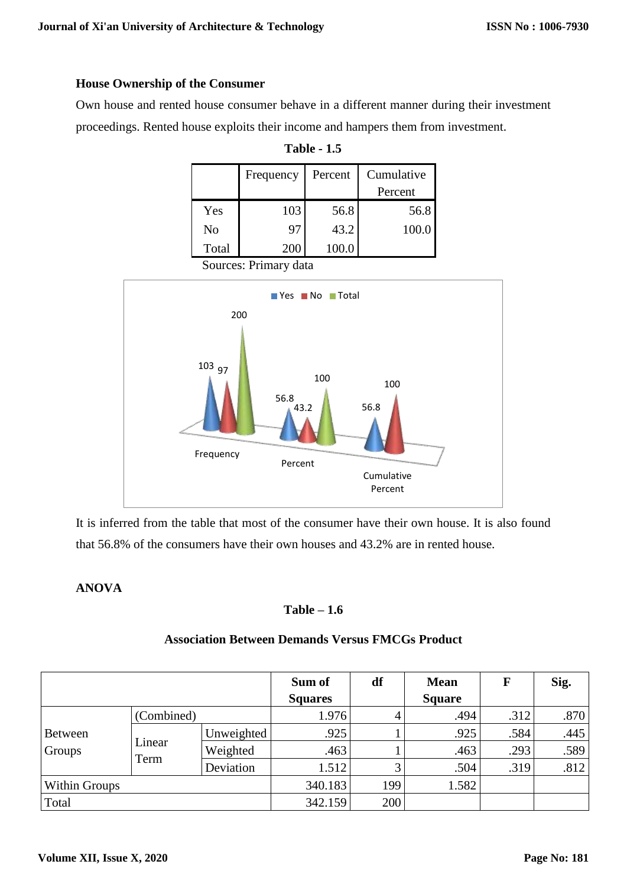#### **House Ownership of the Consumer**

Own house and rented house consumer behave in a different manner during their investment proceedings. Rented house exploits their income and hampers them from investment.

|                       | Frequency | Percent | Cumulative |  |  |  |
|-----------------------|-----------|---------|------------|--|--|--|
|                       |           |         | Percent    |  |  |  |
| Yes                   | 103       | 56.8    | 56.8       |  |  |  |
| No                    | 97        | 43.2    | 100.0      |  |  |  |
| Total                 | 200       | 100.0   |            |  |  |  |
| Sources: Primary data |           |         |            |  |  |  |



103 97 100 200 100 **T** Yes No Total



It is inferred from the table that most of the consumer have their own house. It is also found that 56.8% of the consumers have their own houses and 43.2% are in rented house.

# **ANOVA**

# **Table – 1.6**

# **Association Between Demands Versus FMCGs Product**

|                          |                |            | Sum of         | df  | <b>Mean</b>   | F    | Sig. |
|--------------------------|----------------|------------|----------------|-----|---------------|------|------|
|                          |                |            | <b>Squares</b> |     | <b>Square</b> |      |      |
|                          | (Combined)     |            | 1.976          | 4   | .494          | .312 | .870 |
| <b>Between</b><br>Groups | Linear<br>Term | Unweighted | .925           |     | .925          | .584 | .445 |
|                          |                | Weighted   | .463           |     | .463          | .293 | .589 |
|                          |                | Deviation  | 1.512          | 3   | .504          | .319 | .812 |
| Within Groups            |                |            | 340.183        | 199 | 1.582         |      |      |
| Total                    |                |            | 342.159        | 200 |               |      |      |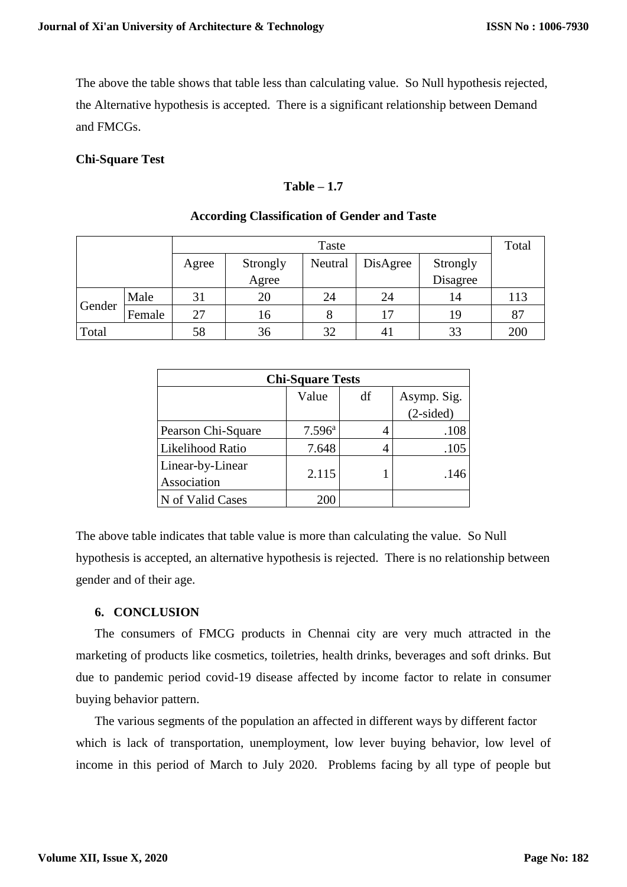The above the table shows that table less than calculating value. So Null hypothesis rejected, the Alternative hypothesis is accepted. There is a significant relationship between Demand and FMCGs.

# **Chi-Square Test**

## **Table – 1.7**

|        |        | Taste |          |         |          |          | Total |
|--------|--------|-------|----------|---------|----------|----------|-------|
|        |        | Agree | Strongly | Neutral | DisAgree | Strongly |       |
|        |        |       | Agree    |         |          | Disagree |       |
|        | Male   | 31    | 20       | 24      | 24       | 14       | 113   |
| Gender | Female | 27    | 16       |         | 17       | 19       | 87    |
| Total  |        | 58    | 36       | 32      | 41       | 33       | 200   |

#### **According Classification of Gender and Taste**

| <b>Chi-Square Tests</b>         |                 |    |             |  |  |  |
|---------------------------------|-----------------|----|-------------|--|--|--|
|                                 | Value           | df | Asymp. Sig. |  |  |  |
|                                 |                 |    | $(2-sided)$ |  |  |  |
| Pearson Chi-Square              | $7.596^{\rm a}$ |    | .108        |  |  |  |
| Likelihood Ratio                | 7.648           |    | .105        |  |  |  |
| Linear-by-Linear<br>Association | 2.115           |    | .146        |  |  |  |
| N of Valid Cases                |                 |    |             |  |  |  |

The above table indicates that table value is more than calculating the value. So Null hypothesis is accepted, an alternative hypothesis is rejected. There is no relationship between gender and of their age.

#### **6. CONCLUSION**

The consumers of FMCG products in Chennai city are very much attracted in the marketing of products like cosmetics, toiletries, health drinks, beverages and soft drinks. But due to pandemic period covid-19 disease affected by income factor to relate in consumer buying behavior pattern.

The various segments of the population an affected in different ways by different factor which is lack of transportation, unemployment, low lever buying behavior, low level of income in this period of March to July 2020. Problems facing by all type of people but